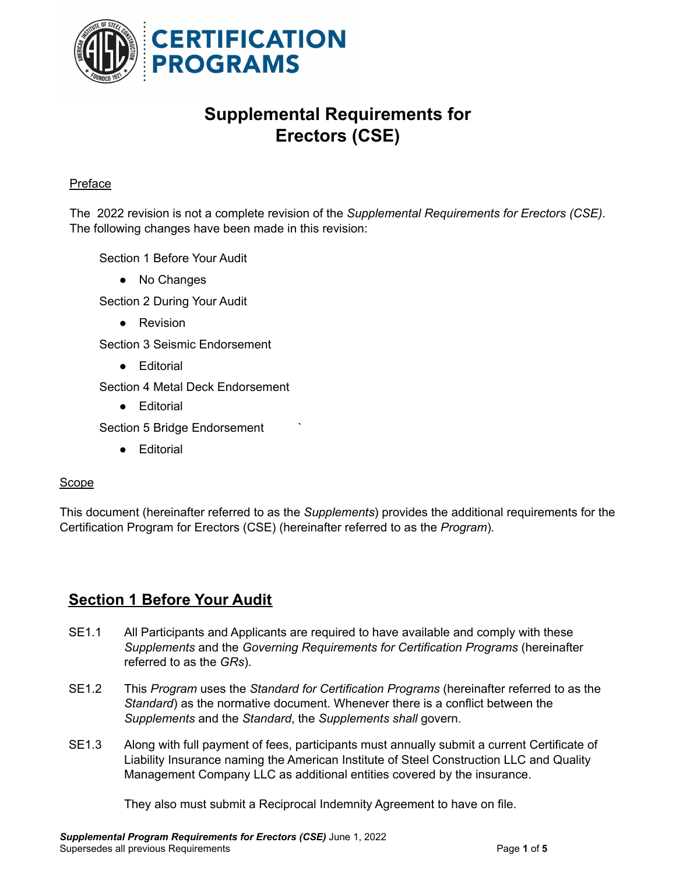

# **Supplemental Requirements for Erectors (CSE)**

#### Preface

The 2022 revision is not a complete revision of the *Supplemental Requirements for Erectors (CSE)*. The following changes have been made in this revision:

Section 1 Before Your Audit

● No Changes

Section 2 During Your Audit

• Revision

Section 3 Seismic Endorsement

● Editorial

Section 4 Metal Deck Endorsement

● Editorial

Section 5 Bridge Endorsement

● Editorial

#### Scope

This document (hereinafter referred to as the *Supplements*) provides the additional requirements for the Certification Program for Erectors (CSE) (hereinafter referred to as the *Program*).

#### **Section 1 Before Your Audit**

- SE1.1 All Participants and Applicants are required to have available and comply with these *Supplements* and the *Governing Requirements for Certification Programs* (hereinafter referred to as the *GRs*).
- SE1.2 This *Program* uses the *Standard for Certification Programs* (hereinafter referred to as the *Standard*) as the normative document. Whenever there is a conflict between the *Supplements* and the *Standard*, the *Supplements shall* govern.
- SE1.3 Along with full payment of fees, participants must annually submit a current Certificate of Liability Insurance naming the American Institute of Steel Construction LLC and Quality Management Company LLC as additional entities covered by the insurance.

They also must submit a Reciprocal Indemnity Agreement to have on file.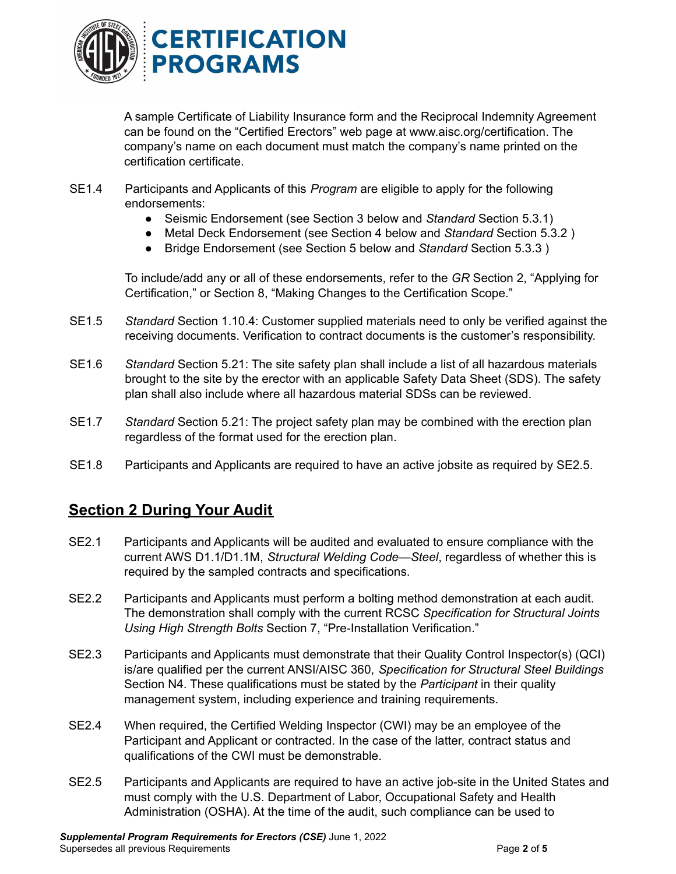

A sample Certificate of Liability Insurance form and the Reciprocal Indemnity Agreement can be found on the "Certified Erectors" web page at [www.aisc.org/certification](http://www.aisc.org/certification). The company's name on each document must match the company's name printed on the certification certificate.

- SE1.4 Participants and Applicants of this *Program* are eligible to apply for the following endorsements:
	- Seismic Endorsement (see Section 3 below and *Standard* Section 5.3.1)
	- Metal Deck Endorsement (see Section 4 below and *Standard* Section 5.3.2 )
	- Bridge Endorsement (see Section 5 below and *Standard* Section 5.3.3 )

To include/add any or all of these endorsements, refer to the *GR* Section 2, "Applying for Certification," or Section 8, "Making Changes to the Certification Scope."

- SE1.5 *Standard* Section 1.10.4: Customer supplied materials need to only be verified against the receiving documents. Verification to contract documents is the customer's responsibility.
- SE1.6 *Standard* Section 5.21: The site safety plan shall include a list of all hazardous materials brought to the site by the erector with an applicable Safety Data Sheet (SDS). The safety plan shall also include where all hazardous material SDSs can be reviewed.
- SE1.7 *Standard* Section 5.21: The project safety plan may be combined with the erection plan regardless of the format used for the erection plan.
- SE1.8 Participants and Applicants are required to have an active jobsite as required by SE2.5.

### **Section 2 During Your Audit**

- SE2.1 Participants and Applicants will be audited and evaluated to ensure compliance with the current AWS D1.1/D1.1M, *Structural Welding Code—Steel*, regardless of whether this is required by the sampled contracts and specifications.
- SE2.2 Participants and Applicants must perform a bolting method demonstration at each audit. The demonstration shall comply with the current RCSC *Specification for Structural Joints Using High Strength Bolts* Section 7, "Pre-Installation Verification."
- SE2.3 Participants and Applicants must demonstrate that their Quality Control Inspector(s) (QCI) is/are qualified per the current ANSI/AISC 360, *Specification for Structural Steel Buildings* Section N4. These qualifications must be stated by the *Participant* in their quality management system, including experience and training requirements.
- SE2.4 When required, the Certified Welding Inspector (CWI) may be an employee of the Participant and Applicant or contracted. In the case of the latter, contract status and qualifications of the CWI must be demonstrable.
- SE2.5 Participants and Applicants are required to have an active job-site in the United States and must comply with the U.S. Department of Labor, Occupational Safety and Health Administration (OSHA). At the time of the audit, such compliance can be used to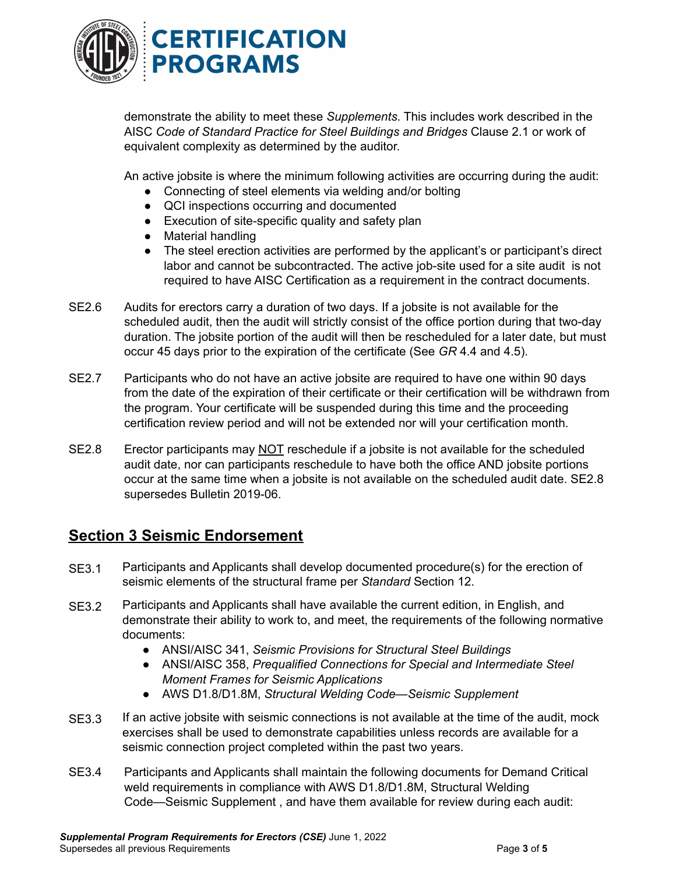

demonstrate the ability to meet these *Supplements*. This includes work described in the AISC *Code of Standard Practice for Steel Buildings and Bridges* Clause 2.1 or work of equivalent complexity as determined by the auditor.

An active jobsite is where the minimum following activities are occurring during the audit:

- Connecting of steel elements via welding and/or bolting
- QCI inspections occurring and documented
- Execution of site-specific quality and safety plan
- Material handling
- The steel erection activities are performed by the applicant's or participant's direct labor and cannot be subcontracted. The active job-site used for a site audit is not required to have AISC Certification as a requirement in the contract documents.
- SE2.6 Audits for erectors carry a duration of two days. If a jobsite is not available for the scheduled audit, then the audit will strictly consist of the office portion during that two-day duration. The jobsite portion of the audit will then be rescheduled for a later date, but must occur 45 days prior to the expiration of the certificate (See *GR* 4.4 and 4.5).
- SE2.7 Participants who do not have an active jobsite are required to have one within 90 days from the date of the expiration of their certificate or their certification will be withdrawn from the program. Your certificate will be suspended during this time and the proceeding certification review period and will not be extended nor will your certification month.
- SE2.8 Erector participants may NOT reschedule if a jobsite is not available for the scheduled audit date, nor can participants reschedule to have both the office AND jobsite portions occur at the same time when a jobsite is not available on the scheduled audit date. SE2.8 supersedes Bulletin 2019-06.

## **Section 3 Seismic Endorsement**

- SE3.1 Participants and Applicants shall develop documented procedure(s) for the erection of seismic elements of the structural frame per *Standard* Section 12.
- SE3.2 Participants and Applicants shall have available the current edition, in English, and demonstrate their ability to work to, and meet, the requirements of the following normative documents:
	- ANSI/AISC 341, *Seismic Provisions for Structural Steel Buildings*
	- ANSI/AISC 358, *Prequalified Connections for Special and Intermediate Steel Moment Frames for Seismic Applications*
	- AWS D1.8/D1.8M, *Structural Welding Code—Seismic Supplement*
- SE3.3 If an active jobsite with seismic connections is not available at the time of the audit, mock exercises shall be used to demonstrate capabilities unless records are available for a seismic connection project completed within the past two years.
- SE3.4 Participants and Applicants shall maintain the following documents for Demand Critical weld requirements in compliance with AWS D1.8/D1.8M, Structural Welding Code—Seismic Supplement , and have them available for review during each audit: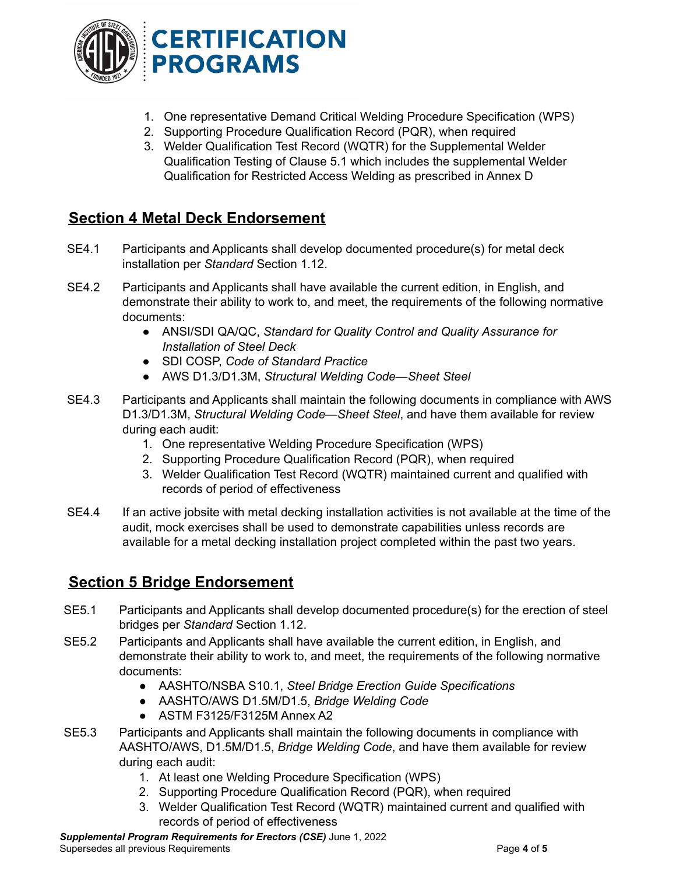

- 1. One representative Demand Critical Welding Procedure Specification (WPS)
- 2. Supporting Procedure Qualification Record (PQR), when required
- 3. Welder Qualification Test Record (WQTR) for the Supplemental Welder Qualification Testing of Clause 5.1 which includes the supplemental Welder Qualification for Restricted Access Welding as prescribed in Annex D

### **Section 4 Metal Deck Endorsement**

- SE4.1 Participants and Applicants shall develop documented procedure(s) for metal deck installation per *Standard* Section 1.12.
- SE4.2 Participants and Applicants shall have available the current edition, in English, and demonstrate their ability to work to, and meet, the requirements of the following normative documents:
	- ANSI/SDI QA/QC, *Standard for Quality Control and Quality Assurance for Installation of Steel Deck*
	- SDI COSP, *Code of Standard Practice*
	- AWS D1.3/D1.3M, *Structural Welding Code—Sheet Steel*
- SE4.3 Participants and Applicants shall maintain the following documents in compliance with AWS D1.3/D1.3M, *Structural Welding Code—Sheet Steel*, and have them available for review during each audit:
	- 1. One representative Welding Procedure Specification (WPS)
	- 2. Supporting Procedure Qualification Record (PQR), when required
	- 3. Welder Qualification Test Record (WQTR) maintained current and qualified with records of period of effectiveness
- SE4.4 If an active jobsite with metal decking installation activities is not available at the time of the audit, mock exercises shall be used to demonstrate capabilities unless records are available for a metal decking installation project completed within the past two years.

### **Section 5 Bridge Endorsement**

- SE5.1 Participants and Applicants shall develop documented procedure(s) for the erection of steel bridges per *Standard* Section 1.12.
- SE5.2 Participants and Applicants shall have available the current edition, in English, and demonstrate their ability to work to, and meet, the requirements of the following normative documents:
	- AASHTO/NSBA S10.1, *Steel Bridge Erection Guide Specifications*
	- AASHTO/AWS D1.5M/D1.5, *Bridge Welding Code*
	- *●* ASTM F3125/F3125M Annex A2
- SE5.3 Participants and Applicants shall maintain the following documents in compliance with AASHTO/AWS, D1.5M/D1.5, *Bridge Welding Code*, and have them available for review during each audit:
	- 1. At least one Welding Procedure Specification (WPS)
	- 2. Supporting Procedure Qualification Record (PQR), when required
	- 3. Welder Qualification Test Record (WQTR) maintained current and qualified with records of period of effectiveness